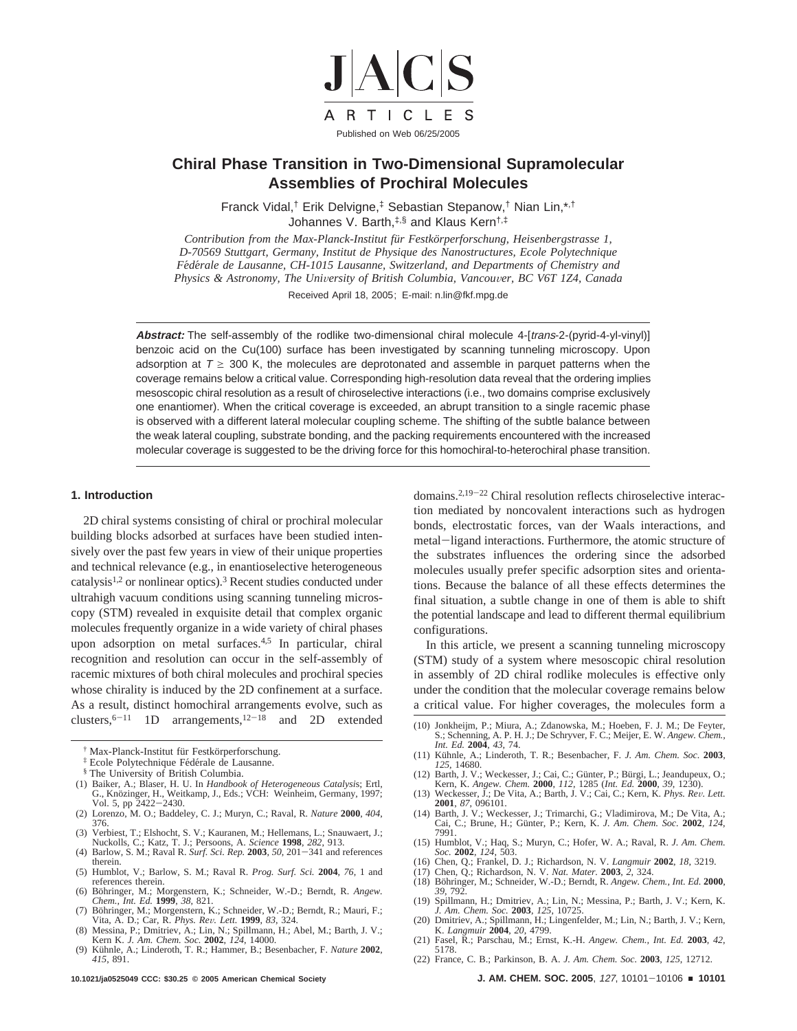

# **Chiral Phase Transition in Two-Dimensional Supramolecular Assemblies of Prochiral Molecules**

Franck Vidal,† Erik Delvigne,‡ Sebastian Stepanow,† Nian Lin,\*,† Johannes V. Barth,‡,§ and Klaus Kern†,‡

*Contribution from the Max-Planck-Institut fu¨r Festko¨rperforschung, Heisenbergstrasse 1, D-70569 Stuttgart, Germany, Institut de Physique des Nanostructures, Ecole Polytechnique Fe*´*de*´*rale de Lausanne, CH-1015 Lausanne, Switzerland, and Departments of Chemistry and Physics & Astronomy, The University of British Columbia, Vancouver, BC V6T 1Z4, Canada* 

Received April 18, 2005; E-mail: n.lin@fkf.mpg.de

Abstract: The self-assembly of the rodlike two-dimensional chiral molecule 4-[trans-2-(pyrid-4-yl-vinyl)] benzoic acid on the Cu(100) surface has been investigated by scanning tunneling microscopy. Upon adsorption at  $T \ge 300$  K, the molecules are deprotonated and assemble in parquet patterns when the coverage remains below a critical value. Corresponding high-resolution data reveal that the ordering implies mesoscopic chiral resolution as a result of chiroselective interactions (i.e., two domains comprise exclusively one enantiomer). When the critical coverage is exceeded, an abrupt transition to a single racemic phase is observed with a different lateral molecular coupling scheme. The shifting of the subtle balance between the weak lateral coupling, substrate bonding, and the packing requirements encountered with the increased molecular coverage is suggested to be the driving force for this homochiral-to-heterochiral phase transition.

### **1. Introduction**

2D chiral systems consisting of chiral or prochiral molecular building blocks adsorbed at surfaces have been studied intensively over the past few years in view of their unique properties and technical relevance (e.g., in enantioselective heterogeneous catalysis1,2 or nonlinear optics).3 Recent studies conducted under ultrahigh vacuum conditions using scanning tunneling microscopy (STM) revealed in exquisite detail that complex organic molecules frequently organize in a wide variety of chiral phases upon adsorption on metal surfaces.4,5 In particular, chiral recognition and resolution can occur in the self-assembly of racemic mixtures of both chiral molecules and prochiral species whose chirality is induced by the 2D confinement at a surface. As a result, distinct homochiral arrangements evolve, such as clusters,  $6-11$  1D arrangements,  $12-18$  and 2D extended

- (1) Baiker, A.; Blaser, H. U. In *Handbook of Heterogeneous Catalysi*s; Ertl, G., Knözinger, H., Weitkamp, J., Eds.; VCH: Weinheim, Germany, 1997; Vol. 5, pp 2422-2430.
- Vol. 5, pp 2422-2430. (2) Lorenzo, M. O.; Baddeley, C. J.; Muryn, C.; Raval, R. *Nature* **2000**, *404*, 376.
- (3) Verbiest, T.; Elshocht, S. V.; Kauranen, M.; Hellemans, L.; Snauwaert, J.; Nuckolls, C.; Katz, T. J.; Persoons, A. *Science* **1998**, *282*, 913.
- (4) Barlow, S. M.; Raval R. *Surf. Sci. Rep.* **<sup>2003</sup>**, *<sup>50</sup>*, 201-341 and references therein.
- (5) Humblot, V.; Barlow, S. M.; Raval R. *Prog. Surf. Sci.* **2004**, *76*, 1 and references therein.
- (6) Böhringer, M.; Morgenstern, K.; Schneider, W.-D.; Berndt, R. Angew. *Chem., Int. Ed.* **1999**, *38*, 821.
- (7) Böhringer, M.; Morgenstern, K.; Schneider, W.-D.; Berndt, R.; Mauri, F.; Vita, A. D.; Car, R. *Phys. Re*V*. Lett.* **<sup>1999</sup>**, *<sup>83</sup>*, 324.
- (8) Messina, P.; Dmitriev, A.; Lin, N.; Spillmann, H.; Abel, M.; Barth, J. V.; Kern K. *J. Am. Chem. Soc.* **2002**, *124*, 14000.
- (9) Kühnle, A.; Linderoth, T. R.; Hammer, B.; Besenbacher, F. Nature 2002, *415*, 891.

domains.2,19-<sup>22</sup> Chiral resolution reflects chiroselective interaction mediated by noncovalent interactions such as hydrogen bonds, electrostatic forces, van der Waals interactions, and metal-ligand interactions. Furthermore, the atomic structure of the substrates influences the ordering since the adsorbed molecules usually prefer specific adsorption sites and orientations. Because the balance of all these effects determines the final situation, a subtle change in one of them is able to shift the potential landscape and lead to different thermal equilibrium configurations.

In this article, we present a scanning tunneling microscopy (STM) study of a system where mesoscopic chiral resolution in assembly of 2D chiral rodlike molecules is effective only under the condition that the molecular coverage remains below a critical value. For higher coverages, the molecules form a

- (10) Jonkheijm, P.; Miura, A.; Zdanowska, M.; Hoeben, F. J. M.; De Feyter, S.; Schenning, A. P. H. J.; De Schryver, F. C.; Meijer, E. W. *Angew. Chem., Int. Ed.* **2004**, *43*, 74.
- (11) Ku¨hnle, A.; Linderoth, T. R.; Besenbacher, F. *J. Am. Chem. Soc.* **<sup>2003</sup>**, *<sup>125</sup>*, 14680.
- (12) Barth, J. V.; Weckesser, J.; Cai, C.; Günter, P.; Bürgi, L.; Jeandupeux, O.; Kern, K. *Angew. Chem.* **2000**, *I12*, 1285 (*Int. Ed. 2000, 39, 1230).*<br>(13) Weckesser, J.; De Vita, A.; Barth, J. V.; Cai, C.; Kern, K.
- **2001**, *87*, 096101.
- (14) Barth, J. V.; Weckesser, J.; Trimarchi, G.; Vladimirova, M.; De Vita, A.; Cai, C.; Brune, H.; Gu¨nter, P.; Kern, K. *J. Am. Chem. Soc.* **2002**, *124*, 7991.
- (15) Humblot, V.; Haq, S.; Muryn, C.; Hofer, W. A.; Raval, R. *J. Am. Chem. Soc.* **2002**, *124*, 503.
- (16) Chen, Q.; Frankel, D. J.; Richardson, N. V. *Langmuir* **2002**, *18*, 3219.
- (17) Chen, Q.; Richardson, N. V. *Nat. Mater.* **2003**,  $\tilde{Z}$ , 324. (18) Böhringer, M.; Schneider, W.-D.; Berndt, R. *Angew. Chem., Int. Ed.* **2000**,
- *39*, 792. (19) Spillmann, H.; Dmitriev, A.; Lin, N.; Messina, P.; Barth, J. V.; Kern, K.
- *J. Am. Chem. Soc.* **2003**, *125*, 10725. (20) Dmitriev, A.; Spillmann, H.; Lingenfelder, M.; Lin, N.; Barth, J. V.; Kern,
- K. *Langmuir* **2004**, *20*, 4799.
- (21) Fasel, R.; Parschau, M.; Ernst, K.-H. *Angew. Chem., Int. Ed.* **2003**, *42*, 5178.
- (22) France, C. B.; Parkinson, B. A. *J. Am. Chem. Soc.* **2003**, *125*, 12712.

**10.1021/ja0525049 CCC: \$30.25 © 2005 American Chemical Society J. AM. CHEM. SOC. 2005**, <sup>127</sup>, 10101-<sup>10106</sup> <sup>9</sup> **<sup>10101</sup>**

<sup>&</sup>lt;sup>†</sup> Max-Planck-Institut für Festkörperforschung.

<sup>&</sup>lt;sup>‡</sup> Ecole Polytechnique Fédérale de Lausanne.

<sup>§</sup> The University of British Columbia.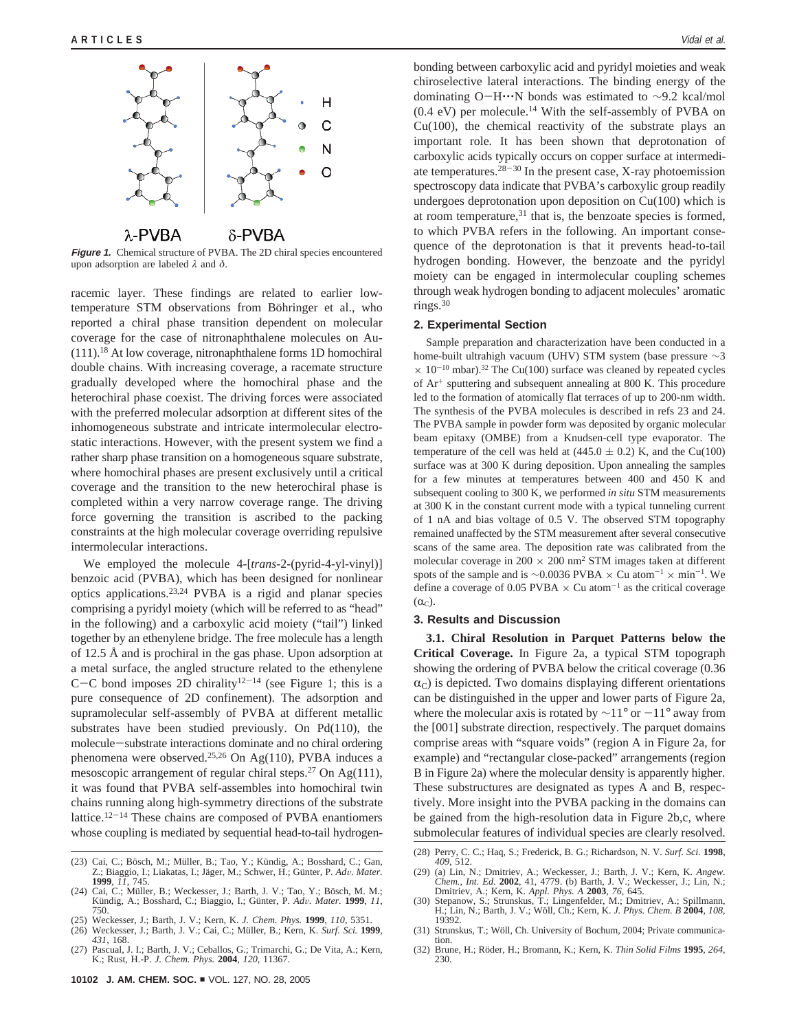

**Figure 1.** Chemical structure of PVBA. The 2D chiral species encountered upon adsorption are labeled *λ* and *δ*.

racemic layer. These findings are related to earlier lowtemperature STM observations from Böhringer et al., who reported a chiral phase transition dependent on molecular coverage for the case of nitronaphthalene molecules on Au-  $(111).$ <sup>18</sup> At low coverage, nitronaphthalene forms 1D homochiral double chains. With increasing coverage, a racemate structure gradually developed where the homochiral phase and the heterochiral phase coexist. The driving forces were associated with the preferred molecular adsorption at different sites of the inhomogeneous substrate and intricate intermolecular electrostatic interactions. However, with the present system we find a rather sharp phase transition on a homogeneous square substrate, where homochiral phases are present exclusively until a critical coverage and the transition to the new heterochiral phase is completed within a very narrow coverage range. The driving force governing the transition is ascribed to the packing constraints at the high molecular coverage overriding repulsive intermolecular interactions.

We employed the molecule 4-[*trans*-2-(pyrid-4-yl-vinyl)] benzoic acid (PVBA), which has been designed for nonlinear optics applications.23,24 PVBA is a rigid and planar species comprising a pyridyl moiety (which will be referred to as "head" in the following) and a carboxylic acid moiety ("tail") linked together by an ethenylene bridge. The free molecule has a length of 12.5 Å and is prochiral in the gas phase. Upon adsorption at a metal surface, the angled structure related to the ethenylene C-C bond imposes 2D chirality<sup>12-14</sup> (see Figure 1; this is a pure consequence of 2D confinement). The adsorption and supramolecular self-assembly of PVBA at different metallic substrates have been studied previously. On Pd(110), the molecule-substrate interactions dominate and no chiral ordering phenomena were observed.25,26 On Ag(110), PVBA induces a mesoscopic arrangement of regular chiral steps.<sup>27</sup> On Ag(111), it was found that PVBA self-assembles into homochiral twin chains running along high-symmetry directions of the substrate lattice.<sup>12-14</sup> These chains are composed of PVBA enantiomers whose coupling is mediated by sequential head-to-tail hydrogenbonding between carboxylic acid and pyridyl moieties and weak chiroselective lateral interactions. The binding energy of the dominating O-H'''N bonds was estimated to <sup>∼</sup>9.2 kcal/mol  $(0.4 \text{ eV})$  per molecule.<sup>14</sup> With the self-assembly of PVBA on  $Cu(100)$ , the chemical reactivity of the substrate plays an important role. It has been shown that deprotonation of carboxylic acids typically occurs on copper surface at intermediate temperatures.  $28-30$  In the present case, X-ray photoemission spectroscopy data indicate that PVBA's carboxylic group readily undergoes deprotonation upon deposition on Cu(100) which is at room temperature, $31$  that is, the benzoate species is formed, to which PVBA refers in the following. An important consequence of the deprotonation is that it prevents head-to-tail hydrogen bonding. However, the benzoate and the pyridyl moiety can be engaged in intermolecular coupling schemes through weak hydrogen bonding to adjacent molecules' aromatic rings. $30$ 

#### **2. Experimental Section**

Sample preparation and characterization have been conducted in a home-built ultrahigh vacuum (UHV) STM system (base pressure ∼3  $\times$  10<sup>-10</sup> mbar).<sup>32</sup> The Cu(100) surface was cleaned by repeated cycles of Ar<sup>+</sup> sputtering and subsequent annealing at 800 K. This procedure led to the formation of atomically flat terraces of up to 200-nm width. The synthesis of the PVBA molecules is described in refs 23 and 24. The PVBA sample in powder form was deposited by organic molecular beam epitaxy (OMBE) from a Knudsen-cell type evaporator. The temperature of the cell was held at  $(445.0 \pm 0.2)$  K, and the Cu(100) surface was at 300 K during deposition. Upon annealing the samples for a few minutes at temperatures between 400 and 450 K and subsequent cooling to 300 K, we performed *in situ* STM measurements at 300 K in the constant current mode with a typical tunneling current of 1 nA and bias voltage of 0.5 V. The observed STM topography remained unaffected by the STM measurement after several consecutive scans of the same area. The deposition rate was calibrated from the molecular coverage in  $200 \times 200$  nm<sup>2</sup> STM images taken at different spots of the sample and is ~0.0036 PVBA  $\times$  Cu atom<sup>-1</sup>  $\times$  min<sup>-1</sup>. We define a coverage of 0.05 PVBA  $\times$  Cu atom<sup>-1</sup> as the critical coverage  $(\alpha_C)$ .

## **3. Results and Discussion**

**3.1. Chiral Resolution in Parquet Patterns below the Critical Coverage.** In Figure 2a, a typical STM topograph showing the ordering of PVBA below the critical coverage (0.36  $\alpha$ <sub>C</sub>) is depicted. Two domains displaying different orientations can be distinguished in the upper and lower parts of Figure 2a, where the molecular axis is rotated by  $\sim$ 11° or  $-11$ ° away from the [001] substrate direction, respectively. The parquet domains comprise areas with "square voids" (region A in Figure 2a, for example) and "rectangular close-packed" arrangements (region B in Figure 2a) where the molecular density is apparently higher. These substructures are designated as types A and B, respectively. More insight into the PVBA packing in the domains can be gained from the high-resolution data in Figure 2b,c, where submolecular features of individual species are clearly resolved.

<sup>(23)</sup> Cai, C.; Bösch, M.; Müller, B.; Tao, Y.; Kündig, A.; Bosshard, C.; Gan, Z.; Gan, B.; Eliakatas, I.; Jäger, M.; Schwer, H.; Günter, P. *Adv. Mater.*<br>**1999**, *II.* 745. **1999**, *11*, 745.

<sup>(24)</sup> Cai, C.; Müller, B.; Weckesser, J.; Barth, J. V.; Tao, Y.; Bösch, M. M.; Ku¨ndig, A.; Bosshard, C.; Biaggio, I.; Gu¨nter, P. *Ad*V*. Mater.* **<sup>1999</sup>**, *11,* 750.

<sup>(25)</sup> Weckesser, J.; Barth, J. V.; Kern*,* K. *J. Chem. Phys.* **1999**, *110*, 5351.

<sup>(26)</sup> Weckesser, J.; Barth, J. V.; Cai, C.; Mu¨ller, B.; Kern*,* K. *Surf. Sci.* **1999**, *431*, 168.

<sup>(27)</sup> Pascual, J. I.; Barth, J. V.; Ceballos, G.; Trimarchi, G.; De Vita, A.; Kern, K.; Rust, H.-P. *J. Chem. Phys.* **2004**, *120*, 11367.

<sup>(28)</sup> Perry, C. C.; Haq, S.; Frederick, B. G.; Richardson, N. V. *Surf. Sci.* **<sup>1998</sup>**, *<sup>409</sup>*, 512.

<sup>(29) (</sup>a) Lin, N.; Dmitriev, A.; Weckesser, J.; Barth, J. V.; Kern, K. Angew.<br>Chem., Int. Ed. **2002**, 41, 4779. (b) Barth, J. V.; Weckesser, J.; Lin, N.;<br>Dmitriev, A.; Kern, K. Appl. Phys. A **2003**, 76, 645.<br>(30) Stepanow,

<sup>(31)</sup> Strunskus, T.; Wöll, Ch. University of Bochum, 2004; Private communication.

<sup>(32)</sup> Brune, H.; Röder, H.; Bromann, K.; Kern, K. *Thin Solid Films* **1995**, 264, 230.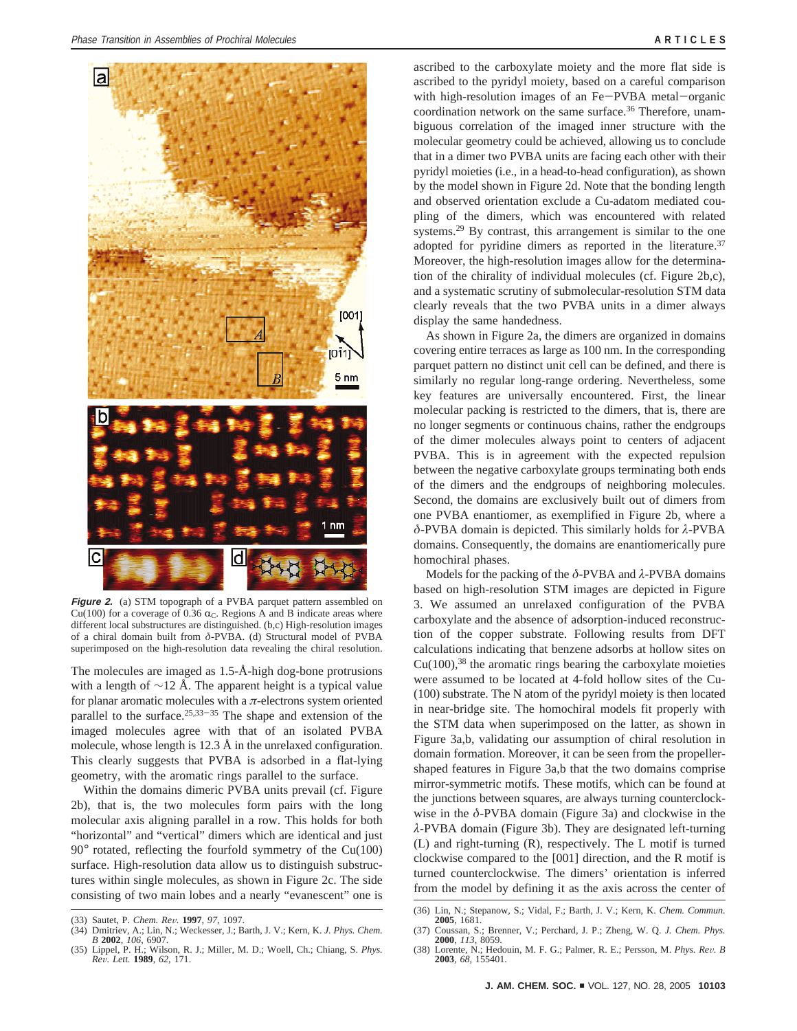

**Figure 2.** (a) STM topograph of a PVBA parquet pattern assembled on Cu(100) for a coverage of 0.36  $\alpha_C$ . Regions A and B indicate areas where different local substructures are distinguished. (b,c) High-resolution images of a chiral domain built from *δ*-PVBA. (d) Structural model of PVBA superimposed on the high-resolution data revealing the chiral resolution.

The molecules are imaged as 1.5-Å-high dog-bone protrusions with a length of  $\sim$ 12 Å. The apparent height is a typical value for planar aromatic molecules with a *π*-electrons system oriented parallel to the surface. $25,33-35$  The shape and extension of the imaged molecules agree with that of an isolated PVBA molecule, whose length is 12.3 Å in the unrelaxed configuration. This clearly suggests that PVBA is adsorbed in a flat-lying geometry, with the aromatic rings parallel to the surface.

Within the domains dimeric PVBA units prevail (cf. Figure 2b), that is, the two molecules form pairs with the long molecular axis aligning parallel in a row. This holds for both "horizontal" and "vertical" dimers which are identical and just 90° rotated, reflecting the fourfold symmetry of the Cu(100) surface. High-resolution data allow us to distinguish substructures within single molecules, as shown in Figure 2c. The side consisting of two main lobes and a nearly "evanescent" one is

ascribed to the carboxylate moiety and the more flat side is ascribed to the pyridyl moiety, based on a careful comparison with high-resolution images of an Fe-PVBA metal-organic coordination network on the same surface.<sup>36</sup> Therefore, unambiguous correlation of the imaged inner structure with the molecular geometry could be achieved, allowing us to conclude that in a dimer two PVBA units are facing each other with their pyridyl moieties (i.e., in a head-to-head configuration), as shown by the model shown in Figure 2d. Note that the bonding length and observed orientation exclude a Cu-adatom mediated coupling of the dimers, which was encountered with related systems.<sup>29</sup> By contrast, this arrangement is similar to the one adopted for pyridine dimers as reported in the literature.<sup>37</sup> Moreover, the high-resolution images allow for the determination of the chirality of individual molecules (cf. Figure 2b,c), and a systematic scrutiny of submolecular-resolution STM data clearly reveals that the two PVBA units in a dimer always display the same handedness.

As shown in Figure 2a, the dimers are organized in domains covering entire terraces as large as 100 nm. In the corresponding parquet pattern no distinct unit cell can be defined, and there is similarly no regular long-range ordering. Nevertheless, some key features are universally encountered. First, the linear molecular packing is restricted to the dimers, that is, there are no longer segments or continuous chains, rather the endgroups of the dimer molecules always point to centers of adjacent PVBA. This is in agreement with the expected repulsion between the negative carboxylate groups terminating both ends of the dimers and the endgroups of neighboring molecules. Second, the domains are exclusively built out of dimers from one PVBA enantiomer, as exemplified in Figure 2b, where a *δ*-PVBA domain is depicted. This similarly holds for *λ*-PVBA domains. Consequently, the domains are enantiomerically pure homochiral phases.

Models for the packing of the *δ*-PVBA and *λ*-PVBA domains based on high-resolution STM images are depicted in Figure 3. We assumed an unrelaxed configuration of the PVBA carboxylate and the absence of adsorption-induced reconstruction of the copper substrate. Following results from DFT calculations indicating that benzene adsorbs at hollow sites on  $Cu(100),$ <sup>38</sup> the aromatic rings bearing the carboxylate moieties were assumed to be located at 4-fold hollow sites of the Cu- (100) substrate. The N atom of the pyridyl moiety is then located in near-bridge site. The homochiral models fit properly with the STM data when superimposed on the latter, as shown in Figure 3a,b, validating our assumption of chiral resolution in domain formation. Moreover, it can be seen from the propellershaped features in Figure 3a,b that the two domains comprise mirror-symmetric motifs. These motifs, which can be found at the junctions between squares, are always turning counterclockwise in the *δ*-PVBA domain (Figure 3a) and clockwise in the *λ*-PVBA domain (Figure 3b). They are designated left-turning (L) and right-turning (R), respectively. The L motif is turned clockwise compared to the [001] direction, and the R motif is turned counterclockwise. The dimers' orientation is inferred from the model by defining it as the axis across the center of

<sup>(33)</sup> Sautet, P. *Chem. Re*V*.* **<sup>1997</sup>**, *<sup>97</sup>*, 1097. (34) Dmitriev, A.; Lin, N.; Weckesser, J.; Barth, J. V.; Kern, K. *J. Phys. Chem. B* **2002**, *106*, 6907.

<sup>(35)</sup> Lippel, P. H.; Wilson, R. J.; Miller, M. D.; Woell, Ch.; Chiang, S. *Phys. Re*V*. Lett.* **<sup>1989</sup>**, *<sup>62</sup>*, 171.

<sup>(36)</sup> Lin, N.; Stepanow, S.; Vidal, F.; Barth, J. V.; Kern, K. *Chem. Commun.* **2005**, 1681.

<sup>(37)</sup> Coussan, S.; Brenner, V.; Perchard, J. P.; Zheng, W. Q. *J. Chem. Phys.* **2000**, *113*, 8059.

<sup>(38)</sup> Lorente, N.; Hedouin, M. F. G.; Palmer, R. E.; Persson, M. *Phys. Re*V*. B* **2003**, *68*, 155401.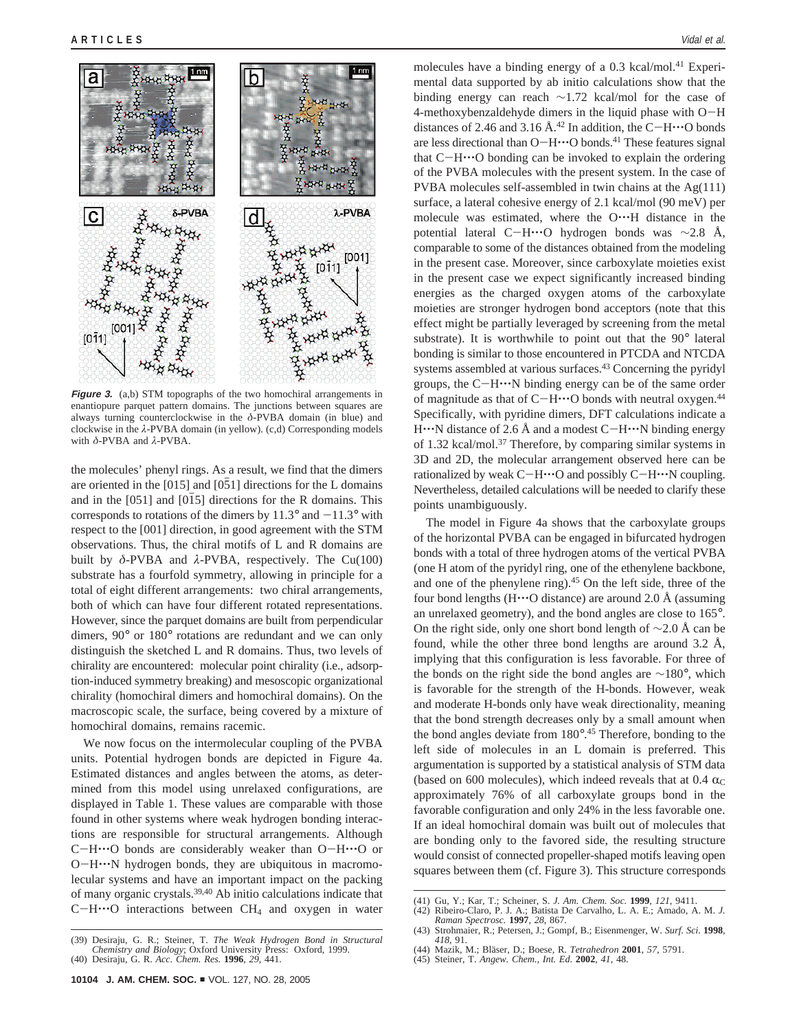

**Figure 3.** (a,b) STM topographs of the two homochiral arrangements in enantiopure parquet pattern domains. The junctions between squares are always turning counterclockwise in the *δ*-PVBA domain (in blue) and clockwise in the *λ*-PVBA domain (in yellow). (c,d) Corresponding models with *δ*-PVBA and *λ*-PVBA.

the molecules' phenyl rings. As a result, we find that the dimers are oriented in the  $[015]$  and  $[051]$  directions for the L domains and in the [051] and [015] directions for the R domains. This corresponds to rotations of the dimers by  $11.3^{\circ}$  and  $-11.3^{\circ}$  with respect to the [001] direction, in good agreement with the STM observations. Thus, the chiral motifs of L and R domains are built by *δ*-PVBA and *λ*-PVBA, respectively. The Cu(100) substrate has a fourfold symmetry, allowing in principle for a total of eight different arrangements: two chiral arrangements, both of which can have four different rotated representations. However, since the parquet domains are built from perpendicular dimers, 90° or 180° rotations are redundant and we can only distinguish the sketched L and R domains. Thus, two levels of chirality are encountered: molecular point chirality (i.e., adsorption-induced symmetry breaking) and mesoscopic organizational chirality (homochiral dimers and homochiral domains). On the macroscopic scale, the surface, being covered by a mixture of homochiral domains, remains racemic.

We now focus on the intermolecular coupling of the PVBA units. Potential hydrogen bonds are depicted in Figure 4a. Estimated distances and angles between the atoms, as determined from this model using unrelaxed configurations, are displayed in Table 1. These values are comparable with those found in other systems where weak hydrogen bonding interactions are responsible for structural arrangements. Although <sup>C</sup>-H'''O bonds are considerably weaker than O-H'''O or <sup>O</sup>-H'''N hydrogen bonds, they are ubiquitous in macromolecular systems and have an important impact on the packing of many organic crystals.39,40 Ab initio calculations indicate that  $C-H\cdots O$  interactions between  $CH_4$  and oxygen in water molecules have a binding energy of a 0.3 kcal/mol.<sup>41</sup> Experimental data supported by ab initio calculations show that the binding energy can reach ∼1.72 kcal/mol for the case of 4-methoxybenzaldehyde dimers in the liquid phase with O-<sup>H</sup> distances of 2.46 and 3.16 Å.<sup>42</sup> In addition, the C-H $\cdot\cdot\cdot$ O bonds are less directional than O-H $\cdot\cdot\cdot$ O bonds.<sup>41</sup> These features signal that  $C-H\cdots O$  bonding can be invoked to explain the ordering of the PVBA molecules with the present system. In the case of PVBA molecules self-assembled in twin chains at the Ag(111) surface, a lateral cohesive energy of 2.1 kcal/mol (90 meV) per molecule was estimated, where the O...H distance in the potential lateral C-H'''O hydrogen bonds was <sup>∼</sup>2.8 Å, comparable to some of the distances obtained from the modeling in the present case. Moreover, since carboxylate moieties exist in the present case we expect significantly increased binding energies as the charged oxygen atoms of the carboxylate moieties are stronger hydrogen bond acceptors (note that this effect might be partially leveraged by screening from the metal substrate). It is worthwhile to point out that the 90° lateral bonding is similar to those encountered in PTCDA and NTCDA systems assembled at various surfaces.<sup>43</sup> Concerning the pyridyl groups, the  $C-H\cdots N$  binding energy can be of the same order of magnitude as that of C-H $\cdot\cdot\cdot$ O bonds with neutral oxygen.<sup>44</sup> Specifically, with pyridine dimers, DFT calculations indicate a  $H^{\bullet\bullet\bullet}$ N distance of 2.6 Å and a modest C $-H^{\bullet\bullet\bullet}$ N binding energy of 1.32 kcal/mol.37 Therefore, by comparing similar systems in 3D and 2D, the molecular arrangement observed here can be rationalized by weak C-H $\cdot\cdot\cdot$ O and possibly C-H $\cdot\cdot\cdot$ N coupling. Nevertheless, detailed calculations will be needed to clarify these points unambiguously.

The model in Figure 4a shows that the carboxylate groups of the horizontal PVBA can be engaged in bifurcated hydrogen bonds with a total of three hydrogen atoms of the vertical PVBA (one H atom of the pyridyl ring, one of the ethenylene backbone, and one of the phenylene ring).<sup>45</sup> On the left side, three of the four bond lengths (H $\cdots$ O distance) are around 2.0 Å (assuming an unrelaxed geometry), and the bond angles are close to 165°. On the right side, only one short bond length of  $\sim$ 2.0 Å can be found, while the other three bond lengths are around 3.2 Å, implying that this configuration is less favorable. For three of the bonds on the right side the bond angles are ∼180°, which is favorable for the strength of the H-bonds. However, weak and moderate H-bonds only have weak directionality, meaning that the bond strength decreases only by a small amount when the bond angles deviate from 180°. <sup>45</sup> Therefore, bonding to the left side of molecules in an L domain is preferred. This argumentation is supported by a statistical analysis of STM data (based on 600 molecules), which indeed reveals that at 0.4  $\alpha$ <sub>C</sub> approximately 76% of all carboxylate groups bond in the favorable configuration and only 24% in the less favorable one. If an ideal homochiral domain was built out of molecules that are bonding only to the favored side, the resulting structure would consist of connected propeller-shaped motifs leaving open squares between them (cf. Figure 3). This structure corresponds

(42) Ribeiro-Claro, P. J. A.; Batista De Carvalho, L. A. E.; Amado, A. M. *J. Raman Spectrosc.* **1997**, *28*, 867.

*Chemistry and Biology*; Oxford University Press: Oxford, 1999. (40) Desiraju, G. R. *Acc. Chem. Res.* **1996**, *29*, 441.

(39) Desiraju, G. R.; Steiner, T. *The Weak Hydrogen Bond in Structural*

<sup>(41)</sup> Gu, Y.; Kar, T.; Scheiner, S. *J. Am. Chem. Soc.* **1999**, *121*, 9411.

<sup>(43)</sup> Strohmaier, R.; Petersen, J.; Gompf, B.; Eisenmenger, W. *Surf. Sci.* **1998**, *418*, 91.

<sup>(44)</sup> Mazik, M.; Bla¨ser, D.; Boese, R. *Tetrahedron* **2001**, *57*, 5791. (45) Steiner, T. *Angew. Chem., Int. Ed*. **2002**, *41*, 48.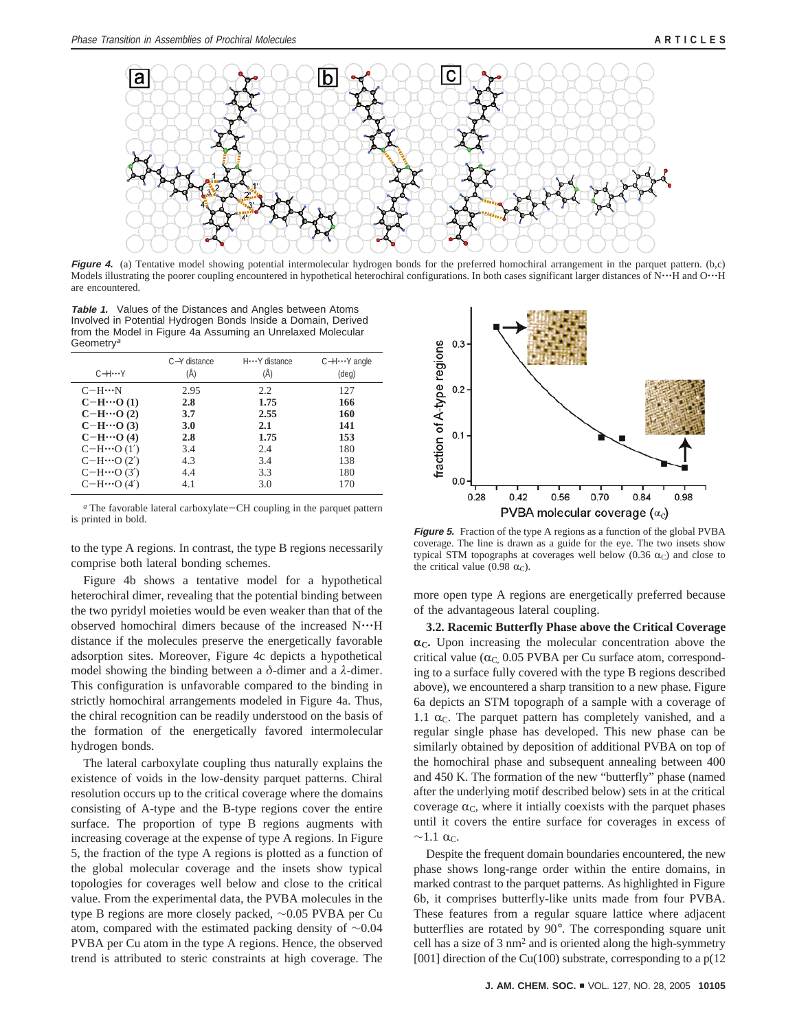

**Figure 4.** (a) Tentative model showing potential intermolecular hydrogen bonds for the preferred homochiral arrangement in the parquet pattern. (b,c) Models illustrating the poorer coupling encountered in hypothetical heterochiral configurations. In both cases significant larger distances of N. IH and O. IH are encountered.

**Table 1.** Values of the Distances and Angles between Atoms Involved in Potential Hydrogen Bonds Inside a Domain, Derived from the Model in Figure 4a Assuming an Unrelaxed Molecular **Geometry<sup>a</sup>** 

| $C-H$ $\cdots$ Y   | C-Y distance<br>(Å) | H ··· Y distance<br>(Å) | $C-H \cdots Y$ angle<br>$(\text{deg})$ |
|--------------------|---------------------|-------------------------|----------------------------------------|
| $C-H\cdots N$      | 2.95                | 2.2                     | 127                                    |
| $C-H\cdots O(1)$   | 2.8                 | 1.75                    | 166                                    |
| $C-H\cdots O(2)$   | 3.7                 | 2.55                    | 160                                    |
| $C-H\cdots O(3)$   | 3.0                 | 2.1                     | 141                                    |
| $C-H\cdots O(4)$   | 2.8                 | 1.75                    | 153                                    |
| $C-H \cdots O(1')$ | 3.4                 | 2.4                     | 180                                    |
| $C-H \cdots O(2')$ | 4.3                 | 3.4                     | 138                                    |
| $C-H \cdots O(3')$ | 4.4                 | 3.3                     | 180                                    |
| $C-H$ …O (4')      | 4.1                 | 3.0                     | 170                                    |

*<sup>a</sup>* The favorable lateral carboxylate-CH coupling in the parquet pattern is printed in bold.

to the type A regions. In contrast, the type B regions necessarily comprise both lateral bonding schemes.

Figure 4b shows a tentative model for a hypothetical heterochiral dimer, revealing that the potential binding between the two pyridyl moieties would be even weaker than that of the observed homochiral dimers because of the increased N'''<sup>H</sup> distance if the molecules preserve the energetically favorable adsorption sites. Moreover, Figure 4c depicts a hypothetical model showing the binding between a *δ*-dimer and a *λ*-dimer. This configuration is unfavorable compared to the binding in strictly homochiral arrangements modeled in Figure 4a. Thus, the chiral recognition can be readily understood on the basis of the formation of the energetically favored intermolecular hydrogen bonds.

The lateral carboxylate coupling thus naturally explains the existence of voids in the low-density parquet patterns. Chiral resolution occurs up to the critical coverage where the domains consisting of A-type and the B-type regions cover the entire surface. The proportion of type B regions augments with increasing coverage at the expense of type A regions. In Figure 5, the fraction of the type A regions is plotted as a function of the global molecular coverage and the insets show typical topologies for coverages well below and close to the critical value. From the experimental data, the PVBA molecules in the type B regions are more closely packed, ∼0.05 PVBA per Cu atom, compared with the estimated packing density of ∼0.04 PVBA per Cu atom in the type A regions. Hence, the observed trend is attributed to steric constraints at high coverage. The



**Figure 5.** Fraction of the type A regions as a function of the global PVBA coverage. The line is drawn as a guide for the eye. The two insets show typical STM topographs at coverages well below (0.36  $\alpha$ <sub>C</sub>) and close to the critical value (0.98  $\alpha$ <sub>C</sub>).

more open type A regions are energetically preferred because of the advantageous lateral coupling.

**3.2. Racemic Butterfly Phase above the Critical Coverage**  $\alpha_{\rm C}$ . Upon increasing the molecular concentration above the critical value ( $\alpha$ <sub>C</sub>, 0.05 PVBA per Cu surface atom, corresponding to a surface fully covered with the type B regions described above), we encountered a sharp transition to a new phase. Figure 6a depicts an STM topograph of a sample with a coverage of 1.1  $\alpha$ <sub>C</sub>. The parquet pattern has completely vanished, and a regular single phase has developed. This new phase can be similarly obtained by deposition of additional PVBA on top of the homochiral phase and subsequent annealing between 400 and 450 K. The formation of the new "butterfly" phase (named after the underlying motif described below) sets in at the critical coverage  $\alpha_C$ , where it intially coexists with the parquet phases until it covers the entire surface for coverages in excess of  $\sim$ 1.1  $\alpha$ <sub>C</sub>.

Despite the frequent domain boundaries encountered, the new phase shows long-range order within the entire domains, in marked contrast to the parquet patterns. As highlighted in Figure 6b, it comprises butterfly-like units made from four PVBA. These features from a regular square lattice where adjacent butterflies are rotated by 90°. The corresponding square unit cell has a size of 3 nm2 and is oriented along the high-symmetry [001] direction of the Cu(100) substrate, corresponding to a p(12